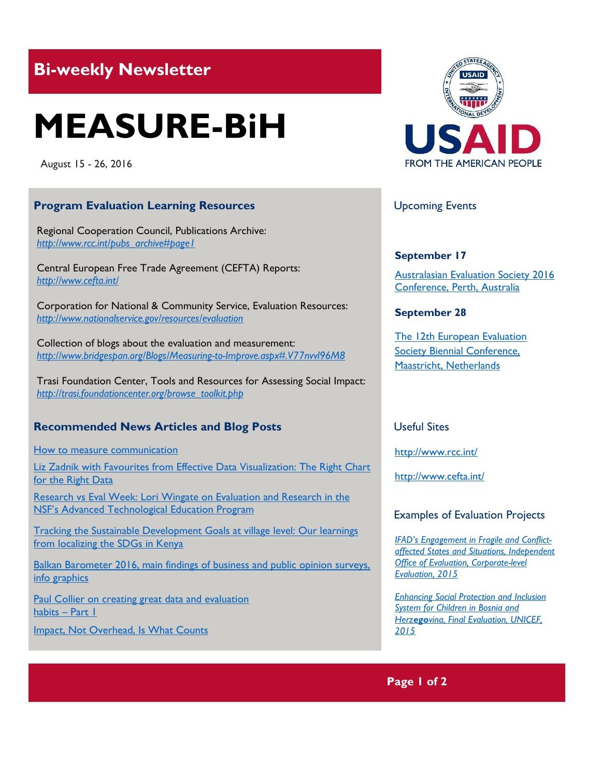# **Bi-weekly Newsletter**

# **MEASURE-BiH**

August 15 - 26, 2016

### **Program Evaluation Learning Resources**

Regional Cooperation Council, Publications Archive: *[http://www.rcc.int/pubs\\_archive#page1](http://www.rcc.int/pubs_archive#page1)* 

Central European Free Trade Agreement (CEFTA) Reports: *<http://www.cefta.int/>*

Corporation for National & Community Service, Evaluation Resources: *<http://www.nationalservice.gov/resources/evaluation>*

Collection of blogs about the evaluation and measurement: *<http://www.bridgespan.org/Blogs/Measuring-to-Improve.aspx#.V77nvvl96M8>*

Trasi Foundation Center, Tools and Resources for Assessing Social Impact: *[http://trasi.foundationcenter.org/browse\\_toolkit.php](http://trasi.foundationcenter.org/browse_toolkit.php)*

# **Recommended News Articles and Blog Posts**

[How to measure communication](http://amecorg.com/how-to-measure-communication/)

Liz Zadnik with Favourites from Effective Data Visualization: The Right Chart [for the Right Data](http://aea365.org/blog/liz-zadnik-with-favorites-from-effective-data-visualization-the-right-chart-for-the-right-data/?utm_source=feedburner&utm_medium=feed&utm_campaign=Feed%3A+aea365+%28AEA365%29)

[Research vs Eval Week: Lori Wingate on Evaluation and Research in the](http://aea365.org/blog/research-vs-eval-week-lori-wingate-on-evaluation-and-research-in-the-nsfs-advanced-technological-education-program/?utm_source=feedburner&utm_medium=feed&utm_campaign=Feed%3A+aea365+%28AEA365%29)  [NSF's Advanced Technological Education Program](http://aea365.org/blog/research-vs-eval-week-lori-wingate-on-evaluation-and-research-in-the-nsfs-advanced-technological-education-program/?utm_source=feedburner&utm_medium=feed&utm_campaign=Feed%3A+aea365+%28AEA365%29)

[Tracking the Sustainable Development Goals at village level: Our learnings](http://devinit.org/#!/post/tracking-the-sustainable-development-goals-at-village-level-our-learnings-from-localising-the-sdgs-in-kenya)  [from localizing the SDGs in](http://devinit.org/#!/post/tracking-the-sustainable-development-goals-at-village-level-our-learnings-from-localising-the-sdgs-in-kenya) Kenya

Balkan Barometer 2016, main findings of business and public opinion surveys, [info graphics](file:///C:/Users/akadic/Downloads/Biznis-barometar-infografika-2016-06-22-WEB.pdf)

[Paul Collier on creating great data and evaluation](http://aea365.org/blog/paul-collier-on-creating-great-data-and-evaluation-habits-part-1/?utm_source=feedburner&utm_medium=feed&utm_campaign=Feed%3A+aea365+%28AEA365%29)  [habits](http://aea365.org/blog/paul-collier-on-creating-great-data-and-evaluation-habits-part-1/?utm_source=feedburner&utm_medium=feed&utm_campaign=Feed%3A+aea365+%28AEA365%29) – Part 1

[Impact, Not Overhead, Is What Counts](http://www.bridgespan.org/Blogs/Measuring-to-Improve/November-2013/Impact-Not-Overhead-Is-What-Counts.aspx#.V77n9Pl96M8)



# Upcoming Events

#### **September 17**

[Australasian Evaluation Society 2016](http://mande.co.uk/conferences/?event_id1=24)  [Conference, Perth, Australia](http://mande.co.uk/conferences/?event_id1=24)

#### **September 28**

[The 12th European Evaluation](http://mande.co.uk/conferences/?event_id1=16)  Society Biennial Conference, [Maastricht, Netherlands](http://mande.co.uk/conferences/?event_id1=16)

#### Useful Sites

<http://www.rcc.int/>

<http://www.cefta.int/>

#### Examples of Evaluation Projects

*[IFAD's Engagement in Fragile and Conflict](https://www.ifad.org/documents/10180/1666bcfd-665d-48ac-a298-cb9ad3ac8531)[affected States and Situations, Independent](https://www.ifad.org/documents/10180/1666bcfd-665d-48ac-a298-cb9ad3ac8531)  [Office of Evaluation, Corporate-level](https://www.ifad.org/documents/10180/1666bcfd-665d-48ac-a298-cb9ad3ac8531)  [Evaluation, 2015](https://www.ifad.org/documents/10180/1666bcfd-665d-48ac-a298-cb9ad3ac8531)*

*[Enhancing Social Protection and Inclusion](http://www.unicef.org/evaldatabase/files/SPIS_EVALUATION_Report_BnH_2015-001.pdf)  [System for Children in Bosnia and](http://www.unicef.org/evaldatabase/files/SPIS_EVALUATION_Report_BnH_2015-001.pdf)  Herzego[vina, Final Evaluation, UNICEF,](http://www.unicef.org/evaldatabase/files/SPIS_EVALUATION_Report_BnH_2015-001.pdf)  [2015](http://www.unicef.org/evaldatabase/files/SPIS_EVALUATION_Report_BnH_2015-001.pdf)*

# **Page 1 of 2**